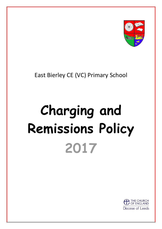

# East Bierley CE (VC) Primary School

# **Charging and Remissions Policy 2017**

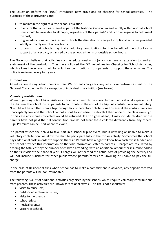The Education Reform Act (1988) introduced new provisions on charging for school activities. The purposes of these provisions are:

- to maintain the right to a free school education;
- to ensure that activities offered as part of the National Curriculum and wholly within normal school time should be available to all pupils, regardless of their parents' ability or willingness to help meet the cost;
- to give educational authorities and schools the discretion to charge for optional activities provided wholly or mainly out of school hours;
- to confirm that schools may invite voluntary contributions for the benefit of the school or in support of any activity organised by the school, either in or outside school hours.

The Governors believe that activities such as educational visits (or visitors) are an extension to, and an enrichment of the curriculum. They have followed the DfE guidelines for Charging for School Activities, which allows the school to ask for voluntary contributions from parents to support these activities. The policy is reviewed every two years.

## **Introduction**

All education during school hours is free. We do not charge for any activity undertaken as part of the National Curriculum with the exception of individual music tuition (see below).

### **Voluntary contributions**

When organising school trips, visits or visitors which enrich the curriculum and educational experience of the children, the school invites parents to contribute to the cost of the trip. All contributions are voluntary. No child will be omitted from a trip through lack of parental contributions however if the contributions are unacceptably low and the school cannot afford to subsidise the shortfall then none of the class would go. In this case any monies collected would be returned. If a trip goes ahead, it may include children whose parents have not paid the full contribution. We do not treat these children differently from any others. Pupil Premium can be used where relevant.

If a parent wishes their child to take part in a school trip or event, but is unwilling or unable to make a voluntary contribution, we allow the child to participate fully in the trip or activity. Sometimes the school pays additional costs in order to support the visit. Parents have a right to know how each trip is funded and the school provides this information on the visit information letter to parents. Charges are calculated by dividing the total cost by the number of children attending, with an additional amount for insurance added on the first visit of the financial year. Charges will not exceed the actual cost of providing the activity and will not include subsidies for other pupils whose parents/carers are unwilling or unable to pay the full charge.

In the case of Residential trips when school has to make a commitment in advance, any deposit received from the parents will be non-refundable.

The following is a list of additional activities organised by the school, which require voluntary contributions from parents. These activities are known as 'optional extras'. This list is not exhaustive:

- visits to museums;
- outdoor adventure activities:
- visits to the theatre;
- school trips;
- musical events;
- visitors to school.